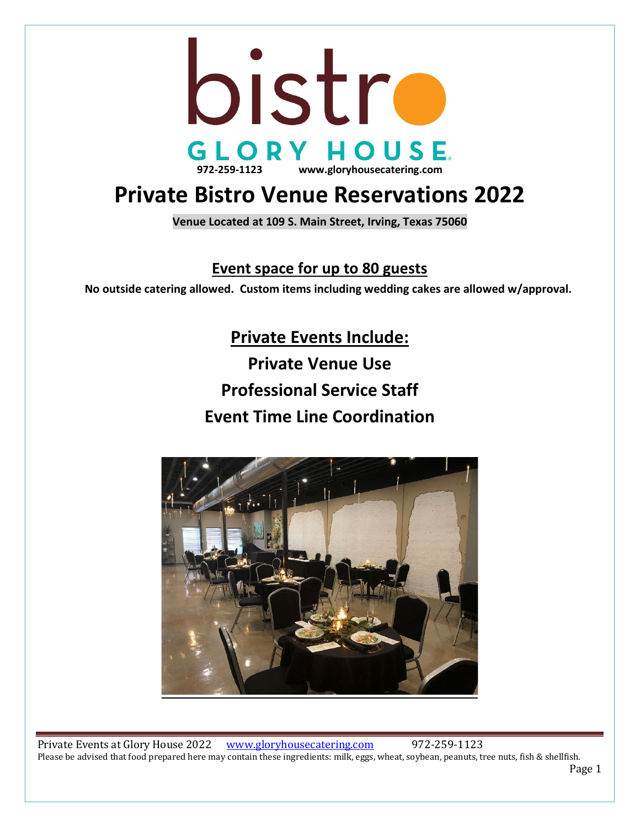

# **Private Bistro Venue Reservations 2022**

**Venue Located at 109 S. Main Street, Irving, Texas 75060**

### **Event space for up to 80 guests**

 **No outside catering allowed. Custom items including wedding cakes are allowed w/approval.**

**Private Events Include: Private Venue Use Professional Service Staff Event Time Line Coordination**



Private Events at Glory House 2022 [www.gloryhousecatering.com](http://www.gloryhousecatering.com/) 972-259-1123 Please be advised that food prepared here may contain these ingredients: milk, eggs, wheat, soybean, peanuts, tree nuts, fish & shellfish.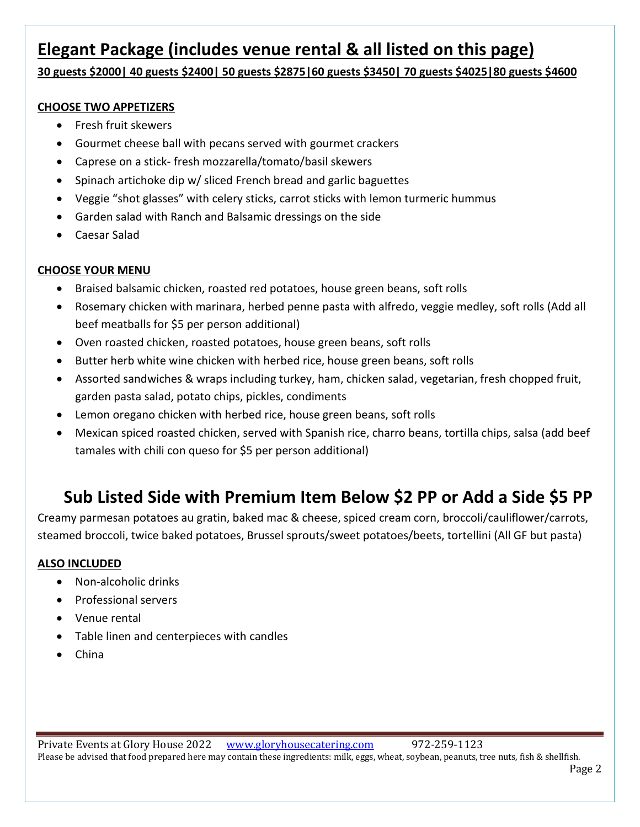## **Elegant Package (includes venue rental & all listed on this page)**

**30 guests \$2000| 40 guests \$2400| 50 guests \$2875|60 guests \$3450| 70 guests \$4025|80 guests \$4600**

### **CHOOSE TWO APPETIZERS**

- Fresh fruit skewers
- Gourmet cheese ball with pecans served with gourmet crackers
- Caprese on a stick- fresh mozzarella/tomato/basil skewers
- Spinach artichoke dip w/ sliced French bread and garlic baguettes
- Veggie "shot glasses" with celery sticks, carrot sticks with lemon turmeric hummus
- Garden salad with Ranch and Balsamic dressings on the side
- Caesar Salad

### **CHOOSE YOUR MENU**

- Braised balsamic chicken, roasted red potatoes, house green beans, soft rolls
- Rosemary chicken with marinara, herbed penne pasta with alfredo, veggie medley, soft rolls (Add all beef meatballs for \$5 per person additional)
- Oven roasted chicken, roasted potatoes, house green beans, soft rolls
- Butter herb white wine chicken with herbed rice, house green beans, soft rolls
- Assorted sandwiches & wraps including turkey, ham, chicken salad, vegetarian, fresh chopped fruit, garden pasta salad, potato chips, pickles, condiments
- Lemon oregano chicken with herbed rice, house green beans, soft rolls
- Mexican spiced roasted chicken, served with Spanish rice, charro beans, tortilla chips, salsa (add beef tamales with chili con queso for \$5 per person additional)

# **Sub Listed Side with Premium Item Below \$2 PP or Add a Side \$5 PP**

Creamy parmesan potatoes au gratin, baked mac & cheese, spiced cream corn, broccoli/cauliflower/carrots, steamed broccoli, twice baked potatoes, Brussel sprouts/sweet potatoes/beets, tortellini (All GF but pasta)

### **ALSO INCLUDED**

- Non-alcoholic drinks
- Professional servers
- Venue rental
- Table linen and centerpieces with candles
- China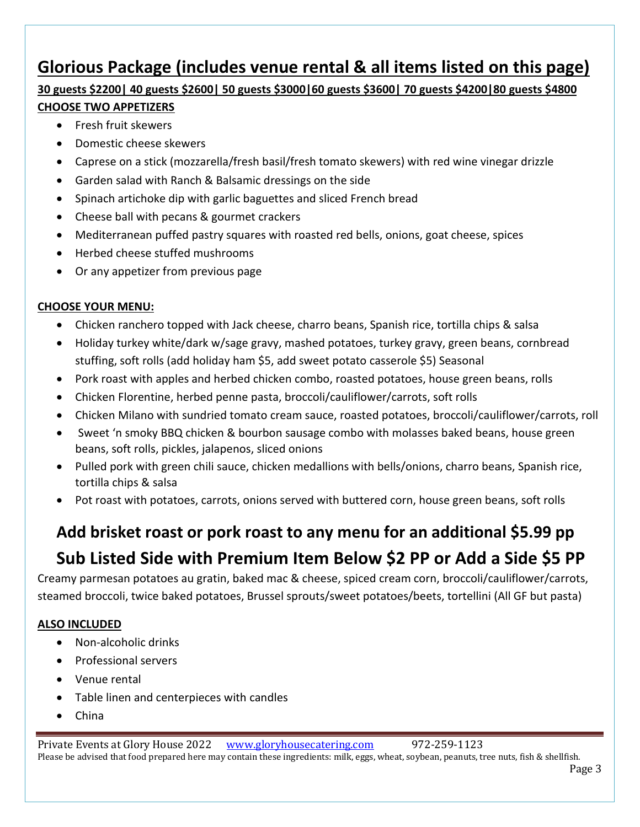# **Glorious Package (includes venue rental & all items listed on this page)**

# **30 guests \$2200| 40 guests \$2600| 50 guests \$3000|60 guests \$3600| 70 guests \$4200|80 guests \$4800**

### **CHOOSE TWO APPETIZERS**

- Fresh fruit skewers
- Domestic cheese skewers
- Caprese on a stick (mozzarella/fresh basil/fresh tomato skewers) with red wine vinegar drizzle
- Garden salad with Ranch & Balsamic dressings on the side
- Spinach artichoke dip with garlic baguettes and sliced French bread
- Cheese ball with pecans & gourmet crackers
- Mediterranean puffed pastry squares with roasted red bells, onions, goat cheese, spices
- Herbed cheese stuffed mushrooms
- Or any appetizer from previous page

### **CHOOSE YOUR MENU:**

- Chicken ranchero topped with Jack cheese, charro beans, Spanish rice, tortilla chips & salsa
- Holiday turkey white/dark w/sage gravy, mashed potatoes, turkey gravy, green beans, cornbread stuffing, soft rolls (add holiday ham \$5, add sweet potato casserole \$5) Seasonal
- Pork roast with apples and herbed chicken combo, roasted potatoes, house green beans, rolls
- Chicken Florentine, herbed penne pasta, broccoli/cauliflower/carrots, soft rolls
- Chicken Milano with sundried tomato cream sauce, roasted potatoes, broccoli/cauliflower/carrots, roll
- Sweet 'n smoky BBQ chicken & bourbon sausage combo with molasses baked beans, house green beans, soft rolls, pickles, jalapenos, sliced onions
- Pulled pork with green chili sauce, chicken medallions with bells/onions, charro beans, Spanish rice, tortilla chips & salsa
- Pot roast with potatoes, carrots, onions served with buttered corn, house green beans, soft rolls

# **Add brisket roast or pork roast to any menu for an additional \$5.99 pp Sub Listed Side with Premium Item Below \$2 PP or Add a Side \$5 PP**

Creamy parmesan potatoes au gratin, baked mac & cheese, spiced cream corn, broccoli/cauliflower/carrots, steamed broccoli, twice baked potatoes, Brussel sprouts/sweet potatoes/beets, tortellini (All GF but pasta)

### **ALSO INCLUDED**

- Non-alcoholic drinks
- Professional servers
- Venue rental
- Table linen and centerpieces with candles
- China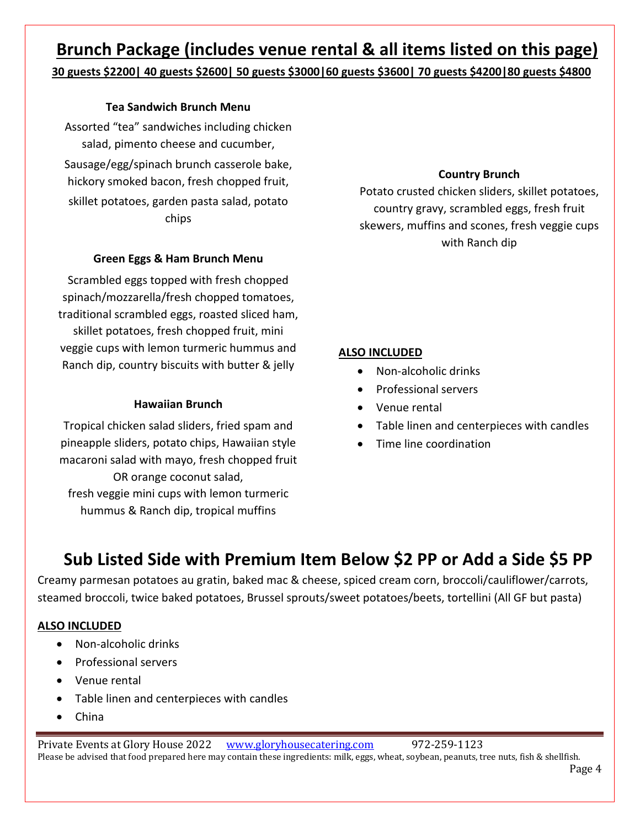### **Brunch Package (includes venue rental & all items listed on this page) 30 guests \$2200| 40 guests \$2600| 50 guests \$3000|60 guests \$3600| 70 guests \$4200|80 guests \$4800**

### **Tea Sandwich Brunch Menu**

Assorted "tea" sandwiches including chicken salad, pimento cheese and cucumber, Sausage/egg/spinach brunch casserole bake, hickory smoked bacon, fresh chopped fruit, skillet potatoes, garden pasta salad, potato chips

### **Green Eggs & Ham Brunch Menu**

Scrambled eggs topped with fresh chopped spinach/mozzarella/fresh chopped tomatoes, traditional scrambled eggs, roasted sliced ham, skillet potatoes, fresh chopped fruit, mini veggie cups with lemon turmeric hummus and Ranch dip, country biscuits with butter & jelly

### **Hawaiian Brunch**

Tropical chicken salad sliders, fried spam and pineapple sliders, potato chips, Hawaiian style macaroni salad with mayo, fresh chopped fruit OR orange coconut salad,

fresh veggie mini cups with lemon turmeric hummus & Ranch dip, tropical muffins

### **Country Brunch**

Potato crusted chicken sliders, skillet potatoes, country gravy, scrambled eggs, fresh fruit skewers, muffins and scones, fresh veggie cups with Ranch dip

### **ALSO INCLUDED**

- Non-alcoholic drinks
- Professional servers
- Venue rental
- Table linen and centerpieces with candles
- Time line coordination

# **Sub Listed Side with Premium Item Below \$2 PP or Add a Side \$5 PP**

Creamy parmesan potatoes au gratin, baked mac & cheese, spiced cream corn, broccoli/cauliflower/carrots, steamed broccoli, twice baked potatoes, Brussel sprouts/sweet potatoes/beets, tortellini (All GF but pasta)

### **ALSO INCLUDED**

- Non-alcoholic drinks
- Professional servers
- Venue rental
- Table linen and centerpieces with candles
- China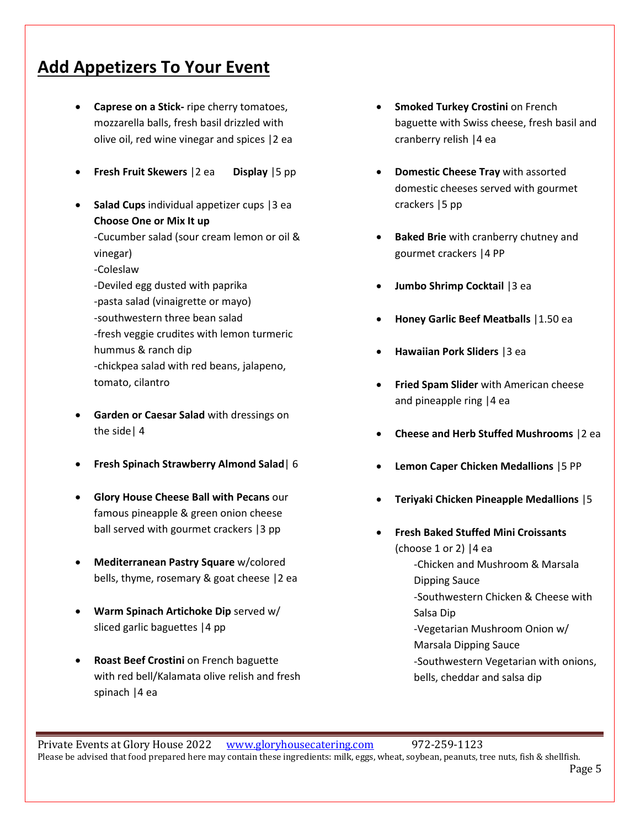## **Add Appetizers To Your Event**

- **Caprese on a Stick-** ripe cherry tomatoes, mozzarella balls, fresh basil drizzled with olive oil, red wine vinegar and spices |2 ea
- **Fresh Fruit Skewers** |2 ea **Display** |5 pp
- **Salad Cups** individual appetizer cups |3 ea **Choose One or Mix It up** -Cucumber salad (sour cream lemon or oil & vinegar) -Coleslaw -Deviled egg dusted with paprika -pasta salad (vinaigrette or mayo) -southwestern three bean salad -fresh veggie crudites with lemon turmeric hummus & ranch dip -chickpea salad with red beans, jalapeno, tomato, cilantro
- **Garden or Caesar Salad** with dressings on the side| 4
- **Fresh Spinach Strawberry Almond Salad**| 6
- **Glory House Cheese Ball with Pecans** our famous pineapple & green onion cheese ball served with gourmet crackers |3 pp
- **Mediterranean Pastry Square** w/colored bells, thyme, rosemary & goat cheese |2 ea
- **Warm Spinach Artichoke Dip** served w/ sliced garlic baguettes |4 pp
- **Roast Beef Crostini** on French baguette with red bell/Kalamata olive relish and fresh spinach |4 ea
- **Smoked Turkey Crostini on French** baguette with Swiss cheese, fresh basil and cranberry relish |4 ea
- **Domestic Cheese Tray** with assorted domestic cheeses served with gourmet crackers |5 pp
- **Baked Brie** with cranberry chutney and gourmet crackers |4 PP
- **Jumbo Shrimp Cocktail** |3 ea
- **Honey Garlic Beef Meatballs** |1.50 ea
- **Hawaiian Pork Sliders** |3 ea
- **Fried Spam Slider** with American cheese and pineapple ring |4 ea
- **Cheese and Herb Stuffed Mushrooms** |2 ea
- **Lemon Caper Chicken Medallions** |5 PP
- **Teriyaki Chicken Pineapple Medallions** |5
	- **Fresh Baked Stuffed Mini Croissants**  (choose 1 or 2)  $|4$  ea -Chicken and Mushroom & Marsala Dipping Sauce -Southwestern Chicken & Cheese with Salsa Dip -Vegetarian Mushroom Onion w/ Marsala Dipping Sauce -Southwestern Vegetarian with onions, bells, cheddar and salsa dip